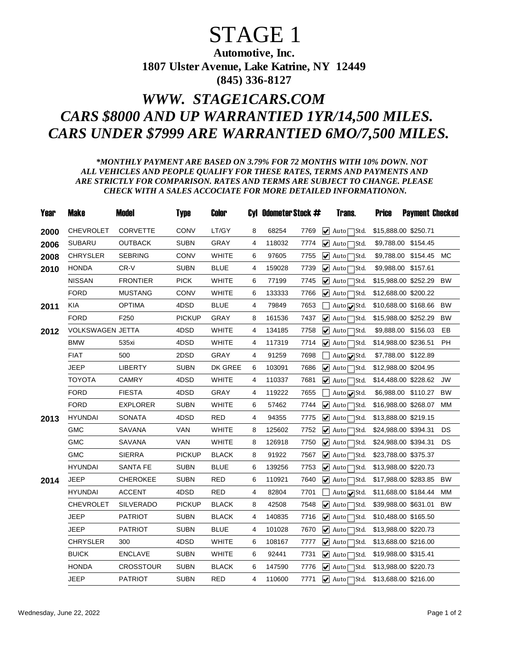## STAGE 1

Automotive, Inc. 1807 Ulster Avenue, Lake Katrine, NY 12449 (845) 336-8127

## *WWW. STAGE1CARS.COM CARS \$8000 AND UP WARRANTIED 1YR/14,500 MILES. CARS UNDER \$7999 ARE WARRANTIED 6MO/7,500 MILES.*

## *\*MONTHLY PAYMENT ARE BASED ON 3.79% FOR 72 MONTHS WITH 10% DOWN. NOT ALL VEHICLES AND PEOPLE QUALIFY FOR THESE RATES, TERMS AND PAYMENTS AND ARE STRICTLY FOR COMPARISON. RATES AND TERMS ARE SUBJECT TO CHANGE. PLEASE CHECK WITH A SALES ACCOCIATE FOR MORE DETAILED INFORMATIONON.*

| Year | <b>Make</b>      | <b>Model</b>     | <b>Type</b>   | Color        |   | Cyl Odometer Stock # |      | Trans.                                          | <b>Price</b> | <b>Payment Checked</b> |           |
|------|------------------|------------------|---------------|--------------|---|----------------------|------|-------------------------------------------------|--------------|------------------------|-----------|
| 2000 | <b>CHEVROLET</b> | <b>CORVETTE</b>  | CONV          | LT/GY        | 8 | 68254                | 7769 | $\blacktriangleright$ Auto $\square$ Std.       |              | \$15,888.00 \$250.71   |           |
| 2006 | <b>SUBARU</b>    | <b>OUTBACK</b>   | <b>SUBN</b>   | <b>GRAY</b>  | 4 | 118032               | 7774 | $\blacktriangleright$ Auto<br>∏Std.             |              | \$9,788.00 \$154.45    |           |
| 2008 | <b>CHRYSLER</b>  | <b>SEBRING</b>   | CONV          | <b>WHITE</b> | 6 | 97605                | 7755 | $\overline{\mathbf{V}}$ Auto<br>∃Std.           | \$9,788.00   | \$154.45 MC            |           |
| 2010 | <b>HONDA</b>     | CR-V             | SUBN          | <b>BLUE</b>  | 4 | 159028               | 7739 | $\blacktriangleright$ Auto<br>∃Std.             | \$9,988.00   | \$157.61               |           |
|      | <b>NISSAN</b>    | <b>FRONTIER</b>  | <b>PICK</b>   | <b>WHITE</b> | 6 | 77199                | 7745 | $\blacktriangleright$ Auto<br>IStd.             |              | \$15,988.00 \$252.29   | BW        |
|      | <b>FORD</b>      | <b>MUSTANG</b>   | CONV          | <b>WHITE</b> | 6 | 133333               | 7766 | $\triangledown$ Auto $\triangledown$<br>Std.    |              | \$12,688.00 \$200.22   |           |
| 2011 | <b>KIA</b>       | <b>OPTIMA</b>    | 4DSD          | <b>BLUE</b>  | 4 | 79849                | 7653 | Auto <sub>√</sub> Std.                          |              | \$10,688.00 \$168.66   | <b>BW</b> |
|      | <b>FORD</b>      | F <sub>250</sub> | <b>PICKUP</b> | GRAY         | 8 | 161536               | 7437 | $\blacktriangleright$ Auto $\square$ Std.       |              | \$15,988.00 \$252.29   | <b>BW</b> |
| 2012 | VOLKSWAGEN JETTA |                  | 4DSD          | <b>WHITE</b> | 4 | 134185               | 7758 | $  \blacktriangleright$ Autol<br>Std.           |              | \$9,888.00 \$156.03    | EB        |
|      | <b>BMW</b>       | 535xi            | 4DSD          | <b>WHITE</b> | 4 | 117319               | 7714 | $\blacktriangleright$ Autol<br>∃Std.            |              | \$14,988.00 \$236.51   | <b>PH</b> |
|      | <b>FIAT</b>      | 500              | 2DSD          | GRAY         | 4 | 91259                | 7698 | Auto <b>v</b> Std.                              |              | \$7,788.00 \$122.89    |           |
|      | <b>JEEP</b>      | <b>LIBERTY</b>   | <b>SUBN</b>   | DK GREE      | 6 | 103091               | 7686 | $\blacktriangleright$ Auto $\ulcorner$<br>7Std. |              | \$12,988.00 \$204.95   |           |
|      | <b>TOYOTA</b>    | <b>CAMRY</b>     | 4DSD          | <b>WHITE</b> | 4 | 110337               | 7681 | $  \blacktriangleright$ Auto $\lceil$<br>∃Std.  |              | \$14,488.00 \$228.62   | <b>JW</b> |
|      | <b>FORD</b>      | <b>FIESTA</b>    | 4DSD          | <b>GRAY</b>  | 4 | 119222               | 7655 | Auto Std.                                       |              | \$6,988.00 \$110.27    | <b>BW</b> |
|      | <b>FORD</b>      | <b>EXPLORER</b>  | SUBN          | <b>WHITE</b> | 6 | 57462                | 7744 | $\blacktriangleright$ Auto<br>∃Std.             |              | \$16,988.00 \$268.07   | МM        |
| 2013 | <b>HYUNDAI</b>   | <b>SONATA</b>    | 4DSD          | <b>RED</b>   | 4 | 94355                | 7775 | $\blacktriangleright$ Auto<br>Std.              |              | \$13,888.00 \$219.15   |           |
|      | <b>GMC</b>       | <b>SAVANA</b>    | <b>VAN</b>    | <b>WHITE</b> | 8 | 125602               | 7752 | $\blacktriangleright$ Autol<br>Std.             |              | \$24,988.00 \$394.31   | DS        |
|      | <b>GMC</b>       | SAVANA           | <b>VAN</b>    | <b>WHITE</b> | 8 | 126918               | 7750 | $\blacktriangleright$ Auto<br>Std.              |              | \$24,988.00 \$394.31   | DS        |
|      | <b>GMC</b>       | <b>SIERRA</b>    | <b>PICKUP</b> | <b>BLACK</b> | 8 | 91922                | 7567 | $ $ Autoll<br>∃Std.                             |              | \$23,788.00 \$375.37   |           |
|      | <b>HYUNDAI</b>   | <b>SANTA FE</b>  | <b>SUBN</b>   | <b>BLUE</b>  | 6 | 139256               | 7753 | $\sqrt{\phantom{a}}$ Auto<br>∃Std.              |              | \$13,988.00 \$220.73   |           |
| 2014 | <b>JEEP</b>      | <b>CHEROKEE</b>  | <b>SUBN</b>   | <b>RED</b>   | 6 | 110921               | 7640 | $ $ Auto $\Gamma$<br>7Std.                      |              | \$17,988.00 \$283.85   | <b>BW</b> |
|      | <b>HYUNDAI</b>   | <b>ACCENT</b>    | 4DSD          | <b>RED</b>   | 4 | 82804                | 7701 | Auto √Std.                                      |              | \$11,688.00 \$184.44   | MM        |
|      | <b>CHEVROLET</b> | <b>SILVERADO</b> | <b>PICKUP</b> | <b>BLACK</b> | 8 | 42508                | 7548 | $ $ Auto<br>Std.                                |              | \$39,988.00 \$631.01   | <b>BW</b> |
|      | JEEP             | <b>PATRIOT</b>   | <b>SUBN</b>   | <b>BLACK</b> | 4 | 140835               | 7716 | $\blacktriangleright$ Auto<br>IStd.             |              | \$10,488.00 \$165.50   |           |
|      | JEEP             | <b>PATRIOT</b>   | SUBN          | <b>BLUE</b>  | 4 | 101028               | 7670 | $\blacktriangleright$ Auto<br>IStd.             |              | \$13,988.00 \$220.73   |           |
|      | <b>CHRYSLER</b>  | 300              | 4DSD          | <b>WHITE</b> | 6 | 108167               | 7777 | $\overline{\mathbf{y}}$ Auto<br>]Std.           |              | \$13,688.00 \$216.00   |           |
|      | <b>BUICK</b>     | <b>ENCLAVE</b>   | SUBN          | <b>WHITE</b> | 6 | 92441                | 7731 | $\blacktriangleright$ Auto<br>Std.              |              | \$19,988.00 \$315.41   |           |
|      | <b>HONDA</b>     | <b>CROSSTOUR</b> | SUBN          | <b>BLACK</b> | 6 | 147590               | 7776 | $\blacktriangleright$ Autol<br>1Std.            |              | \$13,988.00 \$220.73   |           |
|      | <b>JEEP</b>      | <b>PATRIOT</b>   | <b>SUBN</b>   | <b>RED</b>   | 4 | 110600               | 7771 | $\sqrt{ }$ Auto $\sqrt{ }$<br>$\exists$ Std.    |              | \$13,688.00 \$216.00   |           |